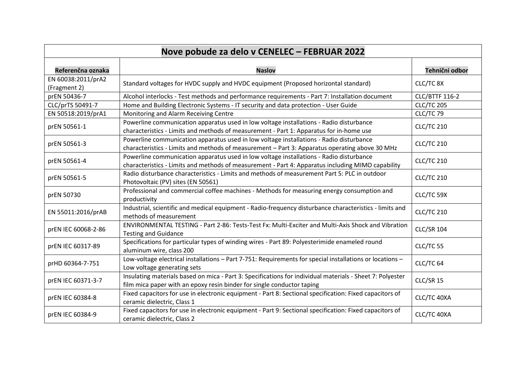| Nove pobude za delo v CENELEC - FEBRUAR 2022 |                                                                                                                                                                                              |                       |
|----------------------------------------------|----------------------------------------------------------------------------------------------------------------------------------------------------------------------------------------------|-----------------------|
| Referenčna oznaka                            | <b>Naslov</b>                                                                                                                                                                                | Tehnični odbor        |
| EN 60038:2011/prA2<br>(Fragment 2)           | Standard voltages for HVDC supply and HVDC equipment (Proposed horizontal standard)                                                                                                          | CLC/TC 8X             |
| prEN 50436-7                                 | Alcohol interlocks - Test methods and performance requirements - Part 7: Installation document                                                                                               | <b>CLC/BTTF 116-2</b> |
| CLC/prTS 50491-7                             | Home and Building Electronic Systems - IT security and data protection - User Guide                                                                                                          | <b>CLC/TC 205</b>     |
| EN 50518:2019/prA1                           | Monitoring and Alarm Receiving Centre                                                                                                                                                        | CLC/TC 79             |
| prEN 50561-1                                 | Powerline communication apparatus used in low voltage installations - Radio disturbance<br>characteristics - Limits and methods of measurement - Part 1: Apparatus for in-home use           | <b>CLC/TC 210</b>     |
| prEN 50561-3                                 | Powerline communication apparatus used in low voltage installations - Radio disturbance<br>characteristics - Limits and methods of measurement - Part 3: Apparatus operating above 30 MHz    | <b>CLC/TC 210</b>     |
| prEN 50561-4                                 | Powerline communication apparatus used in low voltage installations - Radio disturbance<br>characteristics - Limits and methods of measurement - Part 4: Apparatus including MIMO capability | <b>CLC/TC 210</b>     |
| prEN 50561-5                                 | Radio disturbance characteristics - Limits and methods of measurement Part 5: PLC in outdoor<br>Photovoltaic (PV) sites (EN 50561)                                                           | <b>CLC/TC 210</b>     |
| prEN 50730                                   | Professional and commercial coffee machines - Methods for measuring energy consumption and<br>productivity                                                                                   | CLC/TC 59X            |
| EN 55011:2016/prAB                           | Industrial, scientific and medical equipment - Radio-frequency disturbance characteristics - limits and<br>methods of measurement                                                            | <b>CLC/TC 210</b>     |
| prEN IEC 60068-2-86                          | ENVIRONMENTAL TESTING - Part 2-86: Tests-Test Fx: Multi-Exciter and Multi-Axis Shock and Vibration<br><b>Testing and Guidance</b>                                                            | <b>CLC/SR 104</b>     |
| prEN IEC 60317-89                            | Specifications for particular types of winding wires - Part 89: Polyesterimide enameled round<br>aluminum wire, class 200                                                                    | CLC/TC 55             |
| prHD 60364-7-751                             | Low-voltage electrical installations - Part 7-751: Requirements for special installations or locations -<br>Low voltage generating sets                                                      | CLC/TC <sub>64</sub>  |
| prEN IEC 60371-3-7                           | Insulating materials based on mica - Part 3: Specifications for individual materials - Sheet 7: Polyester<br>film mica paper with an epoxy resin binder for single conductor taping          | CLC/SR 15             |
| prEN IEC 60384-8                             | Fixed capacitors for use in electronic equipment - Part 8: Sectional specification: Fixed capacitors of<br>ceramic dielectric, Class 1                                                       | CLC/TC 40XA           |
| prEN IEC 60384-9                             | Fixed capacitors for use in electronic equipment - Part 9: Sectional specification: Fixed capacitors of<br>ceramic dielectric, Class 2                                                       | CLC/TC 40XA           |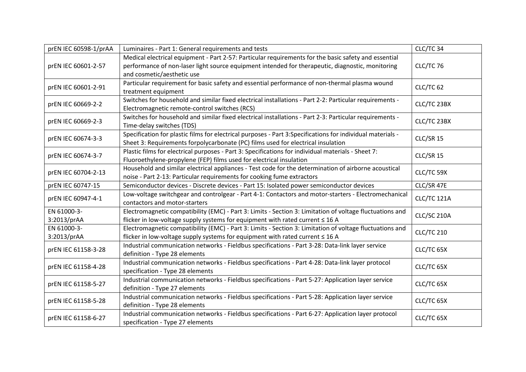| prEN IEC 60598-1/prAA      | Luminaires - Part 1: General requirements and tests                                                                                                                                                                                    | CLC/TC 34         |
|----------------------------|----------------------------------------------------------------------------------------------------------------------------------------------------------------------------------------------------------------------------------------|-------------------|
| prEN IEC 60601-2-57        | Medical electrical equipment - Part 2-57: Particular requirements for the basic safety and essential<br>performance of non-laser light source equipment intended for therapeutic, diagnostic, monitoring<br>and cosmetic/aesthetic use | CLC/TC 76         |
| prEN IEC 60601-2-91        | Particular requirement for basic safety and essential performance of non-thermal plasma wound<br>treatment equipment                                                                                                                   | CLC/TC 62         |
| prEN IEC 60669-2-2         | Switches for household and similar fixed electrical installations - Part 2-2: Particular requirements -<br>Electromagnetic remote-control switches (RCS)                                                                               | CLC/TC 23BX       |
| prEN IEC 60669-2-3         | Switches for household and similar fixed electrical installations - Part 2-3: Particular requirements -<br>Time-delay switches (TDS)                                                                                                   | CLC/TC 23BX       |
| prEN IEC 60674-3-3         | Specification for plastic films for electrical purposes - Part 3:Specifications for individual materials -<br>Sheet 3: Requirements forpolycarbonate (PC) films used for electrical insulation                                         | CLC/SR 15         |
| prEN IEC 60674-3-7         | Plastic films for electrical purposes - Part 3: Specifications for individual materials - Sheet 7:<br>Fluoroethylene-propylene (FEP) films used for electrical insulation                                                              | CLC/SR 15         |
| prEN IEC 60704-2-13        | Household and similar electrical appliances - Test code for the determination of airborne acoustical<br>noise - Part 2-13: Particular requirements for cooking fume extractors                                                         | CLC/TC 59X        |
| prEN IEC 60747-15          | Semiconductor devices - Discrete devices - Part 15: Isolated power semiconductor devices                                                                                                                                               | CLC/SR 47E        |
| prEN IEC 60947-4-1         | Low-voltage switchgear and controlgear - Part 4-1: Contactors and motor-starters - Electromechanical<br>contactors and motor-starters                                                                                                  | CLC/TC 121A       |
| EN 61000-3-<br>3:2013/prAA | Electromagnetic compatibility (EMC) - Part 3: Limits - Section 3: Limitation of voltage fluctuations and<br>flicker in low-voltage supply systems for equipment with rated current ≤ 16 A                                              | CLC/SC 210A       |
| EN 61000-3-<br>3:2013/prAA | Electromagnetic compatibility (EMC) - Part 3: Limits - Section 3: Limitation of voltage fluctuations and<br>flicker in low-voltage supply systems for equipment with rated current ≤ 16 A                                              | <b>CLC/TC 210</b> |
| prEN IEC 61158-3-28        | Industrial communication networks - Fieldbus specifications - Part 3-28: Data-link layer service<br>definition - Type 28 elements                                                                                                      | CLC/TC 65X        |
| prEN IEC 61158-4-28        | Industrial communication networks - Fieldbus specifications - Part 4-28: Data-link layer protocol<br>specification - Type 28 elements                                                                                                  | CLC/TC 65X        |
| prEN IEC 61158-5-27        | Industrial communication networks - Fieldbus specifications - Part 5-27: Application layer service<br>definition - Type 27 elements                                                                                                    | CLC/TC 65X        |
| prEN IEC 61158-5-28        | Industrial communication networks - Fieldbus specifications - Part 5-28: Application layer service<br>definition - Type 28 elements                                                                                                    | CLC/TC 65X        |
| prEN IEC 61158-6-27        | Industrial communication networks - Fieldbus specifications - Part 6-27: Application layer protocol<br>specification - Type 27 elements                                                                                                | CLC/TC 65X        |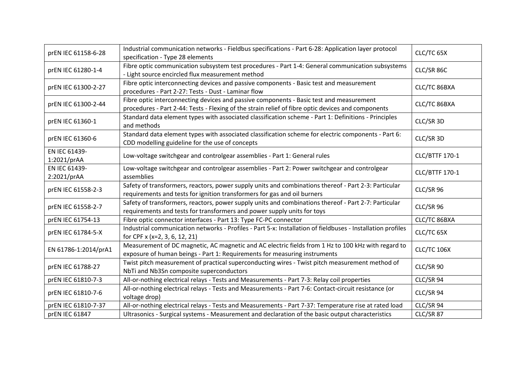| prEN IEC 61158-6-28          | Industrial communication networks - Fieldbus specifications - Part 6-28: Application layer protocol<br>specification - Type 28 elements                                                       | CLC/TC 65X         |
|------------------------------|-----------------------------------------------------------------------------------------------------------------------------------------------------------------------------------------------|--------------------|
| prEN IEC 61280-1-4           | Fibre optic communication subsystem test procedures - Part 1-4: General communication subsystems<br>- Light source encircled flux measurement method                                          | CLC/SR 86C         |
| prEN IEC 61300-2-27          | Fibre optic interconnecting devices and passive components - Basic test and measurement<br>procedures - Part 2-27: Tests - Dust - Laminar flow                                                | CLC/TC 86BXA       |
| prEN IEC 61300-2-44          | Fibre optic interconnecting devices and passive components - Basic test and measurement<br>procedures - Part 2-44: Tests - Flexing of the strain relief of fibre optic devices and components | CLC/TC 86BXA       |
| prEN IEC 61360-1             | Standard data element types with associated classification scheme - Part 1: Definitions - Principles<br>and methods                                                                           | CLC/SR 3D          |
| prEN IEC 61360-6             | Standard data element types with associated classification scheme for electric components - Part 6:<br>CDD modelling guideline for the use of concepts                                        | CLC/SR 3D          |
| EN IEC 61439-<br>1:2021/prAA | Low-voltage switchgear and controlgear assemblies - Part 1: General rules                                                                                                                     | CLC/BTTF 170-1     |
| EN IEC 61439-<br>2:2021/prAA | Low-voltage switchgear and controlgear assemblies - Part 2: Power switchgear and controlgear<br>assemblies                                                                                    | CLC/BTTF 170-1     |
| prEN IEC 61558-2-3           | Safety of transformers, reactors, power supply units and combinations thereof - Part 2-3: Particular<br>requirements and tests for ignition transformers for gas and oil burners              | CLC/SR 96          |
| prEN IEC 61558-2-7           | Safety of transformers, reactors, power supply units and combinations thereof - Part 2-7: Particular<br>requirements and tests for transformers and power supply units for toys               | CLC/SR 96          |
| prEN IEC 61754-13            | Fibre optic connector interfaces - Part 13: Type FC-PC connector                                                                                                                              | CLC/TC 86BXA       |
| prEN IEC 61784-5-X           | Industrial communication networks - Profiles - Part 5-x: Installation of fieldbuses - Installation profiles<br>for CPF x (x=2, 3, 6, 12, 21)                                                  | CLC/TC 65X         |
| EN 61786-1:2014/prA1         | Measurement of DC magnetic, AC magnetic and AC electric fields from 1 Hz to 100 kHz with regard to<br>exposure of human beings - Part 1: Requirements for measuring instruments               | <b>CLC/TC 106X</b> |
| prEN IEC 61788-27            | Twist pitch measurement of practical superconducting wires - Twist pitch measurement method of<br>NbTi and Nb3Sn composite superconductors                                                    | CLC/SR 90          |
| prEN IEC 61810-7-3           | All-or-nothing electrical relays - Tests and Measurements - Part 7-3: Relay coil properties                                                                                                   | CLC/SR 94          |
| prEN IEC 61810-7-6           | All-or-nothing electrical relays - Tests and Measurements - Part 7-6: Contact-circuit resistance (or<br>voltage drop)                                                                         | CLC/SR 94          |
| prEN IEC 61810-7-37          | All-or-nothing electrical relays - Tests and Measurements - Part 7-37: Temperature rise at rated load                                                                                         | CLC/SR 94          |
| prEN IEC 61847               | Ultrasonics - Surgical systems - Measurement and declaration of the basic output characteristics                                                                                              | CLC/SR 87          |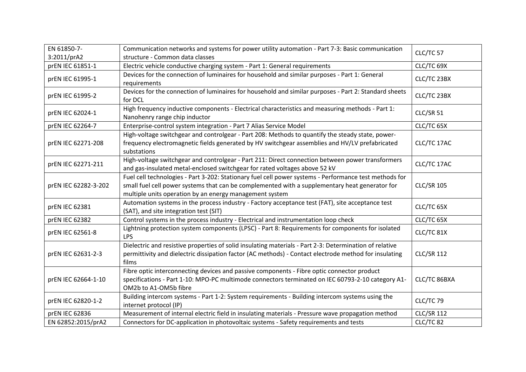| EN 61850-7-          | Communication networks and systems for power utility automation - Part 7-3: Basic communication                                                                                                                                                                     | CLC/TC 57         |
|----------------------|---------------------------------------------------------------------------------------------------------------------------------------------------------------------------------------------------------------------------------------------------------------------|-------------------|
| 3:2011/prA2          | structure - Common data classes                                                                                                                                                                                                                                     |                   |
| prEN IEC 61851-1     | Electric vehicle conductive charging system - Part 1: General requirements                                                                                                                                                                                          | CLC/TC 69X        |
| prEN IEC 61995-1     | Devices for the connection of luminaires for household and similar purposes - Part 1: General<br>requirements                                                                                                                                                       | CLC/TC 23BX       |
| prEN IEC 61995-2     | Devices for the connection of luminaires for household and similar purposes - Part 2: Standard sheets<br>for DCL                                                                                                                                                    | CLC/TC 23BX       |
| prEN IEC 62024-1     | High frequency inductive components - Electrical characteristics and measuring methods - Part 1:<br>Nanohenry range chip inductor                                                                                                                                   | CLC/SR 51         |
| prEN IEC 62264-7     | Enterprise-control system integration - Part 7 Alias Service Model                                                                                                                                                                                                  | CLC/TC 65X        |
| prEN IEC 62271-208   | High-voltage switchgear and controlgear - Part 208: Methods to quantify the steady state, power-<br>frequency electromagnetic fields generated by HV switchgear assemblies and HV/LV prefabricated<br>substations                                                   | CLC/TC 17AC       |
| prEN IEC 62271-211   | High-voltage switchgear and controlgear - Part 211: Direct connection between power transformers<br>and gas-insulated metal-enclosed switchgear for rated voltages above 52 kV                                                                                      | CLC/TC 17AC       |
| prEN IEC 62282-3-202 | Fuel cell technologies - Part 3-202: Stationary fuel cell power systems - Performance test methods for<br>small fuel cell power systems that can be complemented with a supplementary heat generator for<br>multiple units operation by an energy management system | <b>CLC/SR 105</b> |
| prEN IEC 62381       | Automation systems in the process industry - Factory acceptance test (FAT), site acceptance test<br>(SAT), and site integration test (SIT)                                                                                                                          | CLC/TC 65X        |
| prEN IEC 62382       | Control systems in the process industry - Electrical and instrumentation loop check                                                                                                                                                                                 | CLC/TC 65X        |
| prEN IEC 62561-8     | Lightning protection system components (LPSC) - Part 8: Requirements for components for isolated<br><b>LPS</b>                                                                                                                                                      | CLC/TC 81X        |
| prEN IEC 62631-2-3   | Dielectric and resistive properties of solid insulating materials - Part 2-3: Determination of relative<br>permittivity and dielectric dissipation factor (AC methods) - Contact electrode method for insulating<br>films                                           | <b>CLC/SR 112</b> |
| prEN IEC 62664-1-10  | Fibre optic interconnecting devices and passive components - Fibre optic connector product<br>specifications - Part 1-10: MPO-PC multimode connectors terminated on IEC 60793-2-10 category A1-<br>OM2b to A1-OM5b fibre                                            | CLC/TC 86BXA      |
| prEN IEC 62820-1-2   | Building intercom systems - Part 1-2: System requirements - Building intercom systems using the<br>internet protocol (IP)                                                                                                                                           | CLC/TC 79         |
| prEN IEC 62836       | Measurement of internal electric field in insulating materials - Pressure wave propagation method                                                                                                                                                                   | <b>CLC/SR 112</b> |
| EN 62852:2015/prA2   | Connectors for DC-application in photovoltaic systems - Safety requirements and tests                                                                                                                                                                               | CLC/TC 82         |